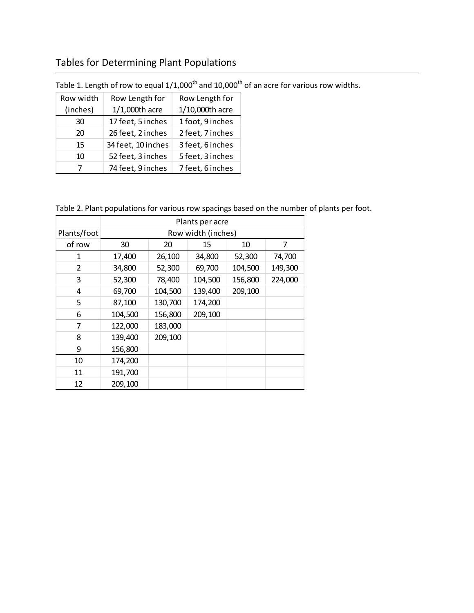## Tables for Determining Plant Populations

| Row width | Row Length for     | Row Length for   |  |  |
|-----------|--------------------|------------------|--|--|
| (inches)  | $1/1,000$ th acre  | 1/10,000th acre  |  |  |
| 30        | 17 feet, 5 inches  | 1 foot, 9 inches |  |  |
| 20        | 26 feet, 2 inches  | 2 feet, 7 inches |  |  |
| 15        | 34 feet, 10 inches | 3 feet, 6 inches |  |  |
| 10        | 52 feet, 3 inches  | 5 feet, 3 inches |  |  |
| 7         | 74 feet, 9 inches  | 7 feet, 6 inches |  |  |

Table 1. Length of row to equal  $1/1,000^{\text{th}}$  and  $10,000^{\text{th}}$  of an acre for various row widths.

Table 2. Plant populations for various row spacings based on the number of plants per foot.

|             | Plants per acre    |         |         |         |         |  |  |  |  |  |
|-------------|--------------------|---------|---------|---------|---------|--|--|--|--|--|
| Plants/foot | Row width (inches) |         |         |         |         |  |  |  |  |  |
| of row      | 30                 | 20      | 15      | 10      | 7       |  |  |  |  |  |
| 1           | 17,400             | 26,100  | 34,800  | 52,300  | 74,700  |  |  |  |  |  |
| 2           | 34,800             | 52,300  | 69,700  | 104,500 | 149,300 |  |  |  |  |  |
| 3           | 52,300             | 78,400  | 104,500 | 156,800 | 224,000 |  |  |  |  |  |
| 4           | 69,700             | 104,500 | 139,400 | 209,100 |         |  |  |  |  |  |
| 5           | 87,100             | 130,700 | 174,200 |         |         |  |  |  |  |  |
| 6           | 104,500            | 156,800 | 209,100 |         |         |  |  |  |  |  |
| 7           | 122,000            | 183,000 |         |         |         |  |  |  |  |  |
| 8           | 139,400            | 209,100 |         |         |         |  |  |  |  |  |
| 9           | 156,800            |         |         |         |         |  |  |  |  |  |
| 10          | 174,200            |         |         |         |         |  |  |  |  |  |
| 11          | 191,700            |         |         |         |         |  |  |  |  |  |
| 12          | 209,100            |         |         |         |         |  |  |  |  |  |